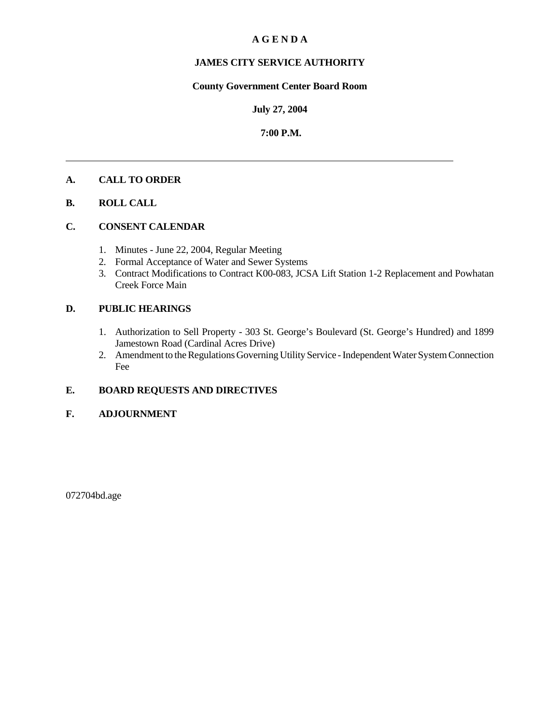## **A G E N D A**

## **JAMES CITY SERVICE AUTHORITY**

## **County Government Center Board Room**

#### **July 27, 2004**

### **7:00 P.M.**

#### **A. CALL TO ORDER**

### **B. ROLL CALL**

# **C. CONSENT CALENDAR**

- 1. Minutes June 22, 2004, Regular Meeting
- 2. Formal Acceptance of Water and Sewer Systems
- 3. Contract Modifications to Contract K00-083, JCSA Lift Station 1-2 Replacement and Powhatan Creek Force Main

## **D. PUBLIC HEARINGS**

- 1. Authorization to Sell Property 303 St. George's Boulevard (St. George's Hundred) and 1899 Jamestown Road (Cardinal Acres Drive)
- 2. Amendment to the Regulations Governing Utility Service Independent Water System Connection Fee

## **E. BOARD REQUESTS AND DIRECTIVES**

#### **F. ADJOURNMENT**

072704bd.age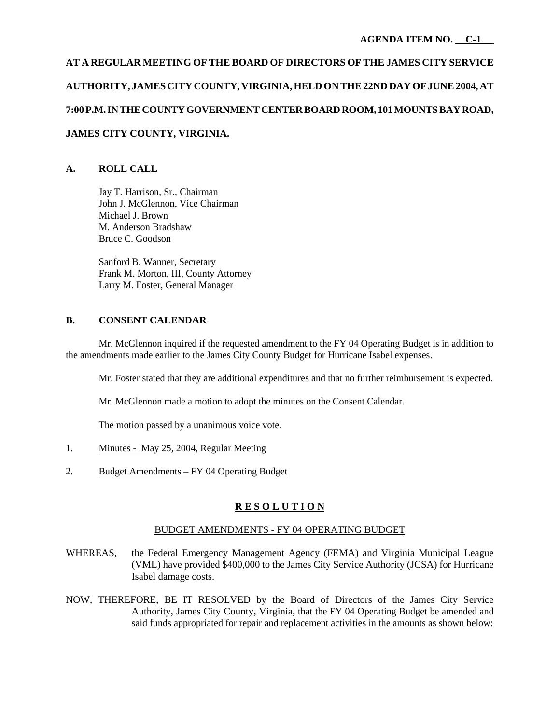# **AT A REGULAR MEETING OF THE BOARD OF DIRECTORS OF THE JAMES CITY SERVICE AUTHORITY, JAMES CITY COUNTY, VIRGINIA, HELD ON THE 22ND DAY OF JUNE 2004, AT 7:00 P.M. IN THE COUNTY GOVERNMENT CENTER BOARD ROOM, 101 MOUNTS BAY ROAD, JAMES CITY COUNTY, VIRGINIA.**

# **A. ROLL CALL**

Jay T. Harrison, Sr., Chairman John J. McGlennon, Vice Chairman Michael J. Brown M. Anderson Bradshaw Bruce C. Goodson

Sanford B. Wanner, Secretary Frank M. Morton, III, County Attorney Larry M. Foster, General Manager

## **B. CONSENT CALENDAR**

Mr. McGlennon inquired if the requested amendment to the FY 04 Operating Budget is in addition to the amendments made earlier to the James City County Budget for Hurricane Isabel expenses.

Mr. Foster stated that they are additional expenditures and that no further reimbursement is expected.

Mr. McGlennon made a motion to adopt the minutes on the Consent Calendar.

The motion passed by a unanimous voice vote.

- 1. Minutes May 25, 2004, Regular Meeting
- 2. Budget Amendments FY 04 Operating Budget

## **R E S O L U T I O N**

#### BUDGET AMENDMENTS - FY 04 OPERATING BUDGET

- WHEREAS, the Federal Emergency Management Agency (FEMA) and Virginia Municipal League (VML) have provided \$400,000 to the James City Service Authority (JCSA) for Hurricane Isabel damage costs.
- NOW, THEREFORE, BE IT RESOLVED by the Board of Directors of the James City Service Authority, James City County, Virginia, that the FY 04 Operating Budget be amended and said funds appropriated for repair and replacement activities in the amounts as shown below: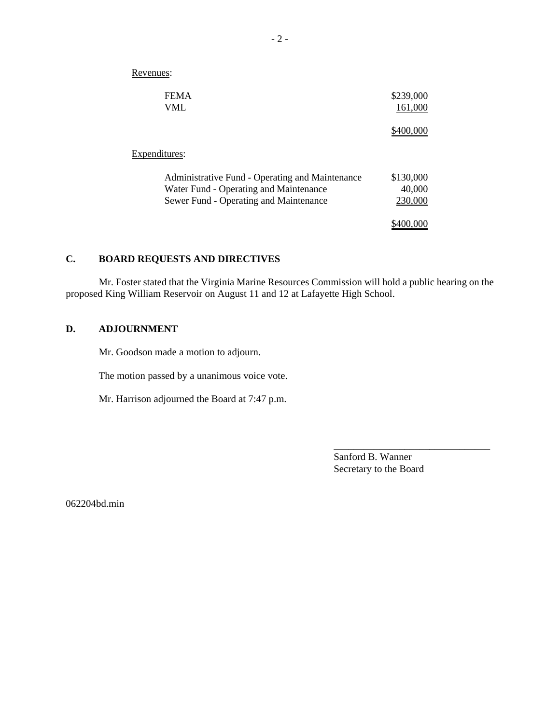| <b>FEMA</b><br>VML                              | \$239,000<br>161,000 |
|-------------------------------------------------|----------------------|
|                                                 |                      |
| Expenditures:                                   |                      |
| Administrative Fund - Operating and Maintenance | \$130,000            |
| Water Fund - Operating and Maintenance          | 40,000               |
| Sewer Fund - Operating and Maintenance          | 230,000              |
|                                                 | \$400.000            |

# **C. BOARD REQUESTS AND DIRECTIVES**

Revenues:

Mr. Foster stated that the Virginia Marine Resources Commission will hold a public hearing on the proposed King William Reservoir on August 11 and 12 at Lafayette High School.

## **D. ADJOURNMENT**

Mr. Goodson made a motion to adjourn.

The motion passed by a unanimous voice vote.

Mr. Harrison adjourned the Board at 7:47 p.m.

Sanford B. Wanner Secretary to the Board

\_\_\_\_\_\_\_\_\_\_\_\_\_\_\_\_\_\_\_\_\_\_\_\_\_\_\_\_\_\_\_

062204bd.min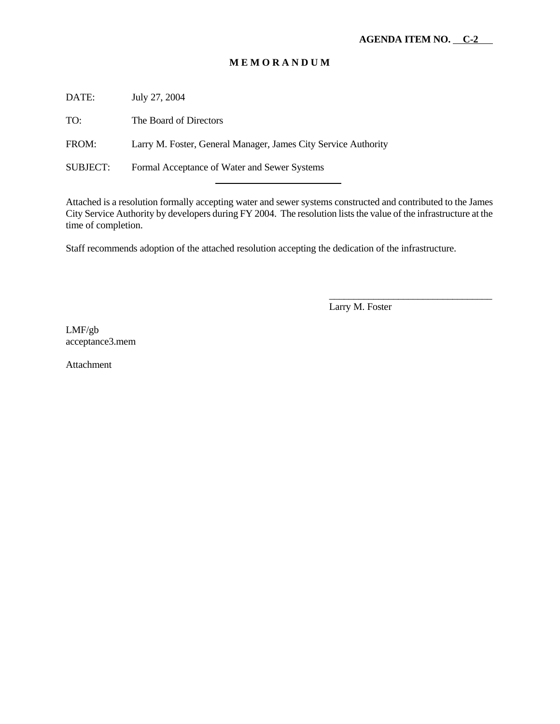DATE: July 27, 2004

TO: The Board of Directors

FROM: Larry M. Foster, General Manager, James City Service Authority

l

SUBJECT: Formal Acceptance of Water and Sewer Systems

Attached is a resolution formally accepting water and sewer systems constructed and contributed to the James City Service Authority by developers during FY 2004. The resolution lists the value of the infrastructure at the time of completion.

Staff recommends adoption of the attached resolution accepting the dedication of the infrastructure.

Larry M. Foster

\_\_\_\_\_\_\_\_\_\_\_\_\_\_\_\_\_\_\_\_\_\_\_\_\_\_\_\_\_\_\_\_\_

LMF/gb acceptance3.mem

Attachment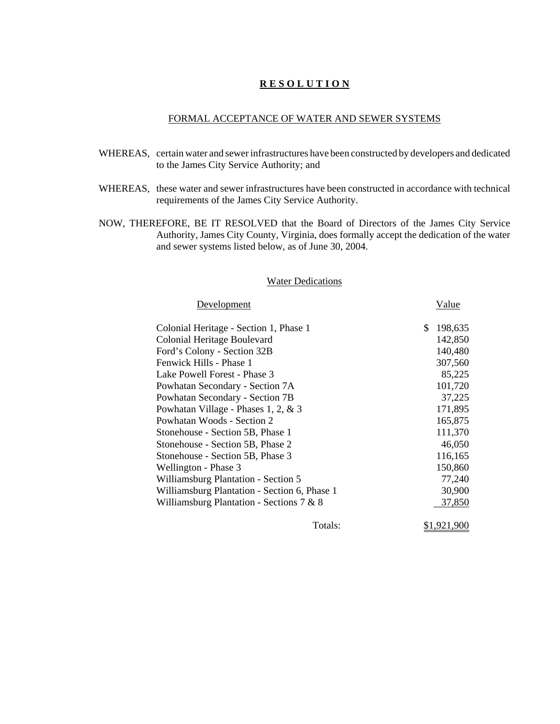#### FORMAL ACCEPTANCE OF WATER AND SEWER SYSTEMS

- WHEREAS, certain water and sewer infrastructures have been constructed by developers and dedicated to the James City Service Authority; and
- WHEREAS, these water and sewer infrastructures have been constructed in accordance with technical requirements of the James City Service Authority.
- NOW, THEREFORE, BE IT RESOLVED that the Board of Directors of the James City Service Authority, James City County, Virginia, does formally accept the dedication of the water and sewer systems listed below, as of June 30, 2004.

#### Water Dedications

Development Value

| $D0$ , $C1O1$ , $C1O1$                       |         | , uruv        |
|----------------------------------------------|---------|---------------|
| Colonial Heritage - Section 1, Phase 1       |         | \$<br>198,635 |
| Colonial Heritage Boulevard                  |         | 142,850       |
| Ford's Colony - Section 32B                  |         | 140,480       |
| Fenwick Hills - Phase 1                      |         | 307,560       |
| Lake Powell Forest - Phase 3                 |         | 85,225        |
| Powhatan Secondary - Section 7A              |         | 101,720       |
| Powhatan Secondary - Section 7B              |         | 37,225        |
| Powhatan Village - Phases 1, 2, & 3          |         | 171,895       |
| Powhatan Woods - Section 2                   |         | 165,875       |
| Stonehouse - Section 5B, Phase 1             |         | 111,370       |
| Stonehouse - Section 5B, Phase 2             |         | 46,050        |
| Stonehouse - Section 5B, Phase 3             |         | 116,165       |
| Wellington - Phase 3                         |         | 150,860       |
| Williamsburg Plantation - Section 5          |         | 77,240        |
| Williamsburg Plantation - Section 6, Phase 1 |         | 30,900        |
| Williamsburg Plantation - Sections $7 & 8$   |         | 37,850        |
|                                              | Totals: | \$1,921,900   |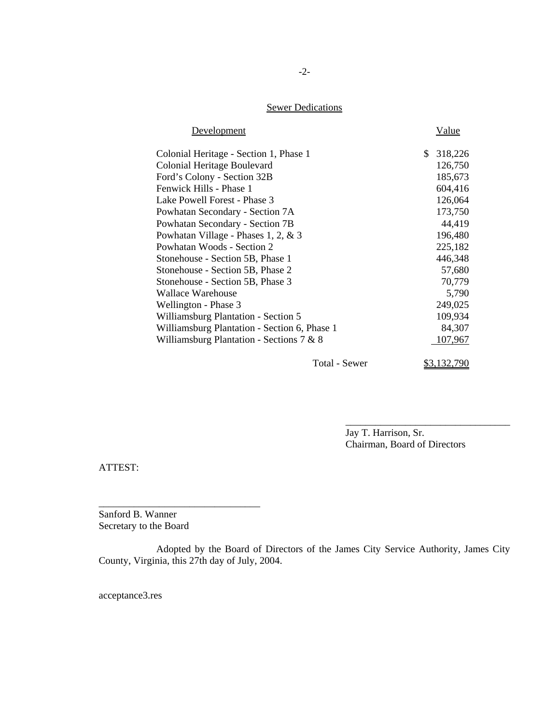# **Sewer Dedications**

| Development                                  |               | <b>Value</b>  |
|----------------------------------------------|---------------|---------------|
| Colonial Heritage - Section 1, Phase 1       |               | \$<br>318,226 |
| Colonial Heritage Boulevard                  |               | 126,750       |
| Ford's Colony - Section 32B                  |               | 185,673       |
| Fenwick Hills - Phase 1                      |               | 604,416       |
| Lake Powell Forest - Phase 3                 |               | 126,064       |
| Powhatan Secondary - Section 7A              |               | 173,750       |
| Powhatan Secondary - Section 7B              |               | 44,419        |
| Powhatan Village - Phases 1, 2, & 3          |               | 196,480       |
| Powhatan Woods - Section 2                   |               | 225,182       |
| Stonehouse - Section 5B, Phase 1             |               | 446,348       |
| Stonehouse - Section 5B, Phase 2             |               | 57,680        |
| Stonehouse - Section 5B, Phase 3             |               | 70,779        |
| Wallace Warehouse                            |               | 5,790         |
| Wellington - Phase 3                         |               | 249,025       |
| <b>Williamsburg Plantation - Section 5</b>   |               | 109,934       |
| Williamsburg Plantation - Section 6, Phase 1 |               | 84,307        |
| Williamsburg Plantation - Sections $7 & 8$   |               | 107,967       |
|                                              | Total - Sewer | \$3,132,790   |

Jay T. Harrison, Sr. Chairman, Board of Directors

\_\_\_\_\_\_\_\_\_\_\_\_\_\_\_\_\_\_\_\_\_\_\_\_\_\_\_\_\_\_\_\_\_

ATTEST:

Sanford B. Wanner Secretary to the Board

\_\_\_\_\_\_\_\_\_\_\_\_\_\_\_\_\_\_\_\_\_\_\_\_\_\_\_\_\_\_\_\_

Adopted by the Board of Directors of the James City Service Authority, James City County, Virginia, this 27th day of July, 2004.

acceptance3.res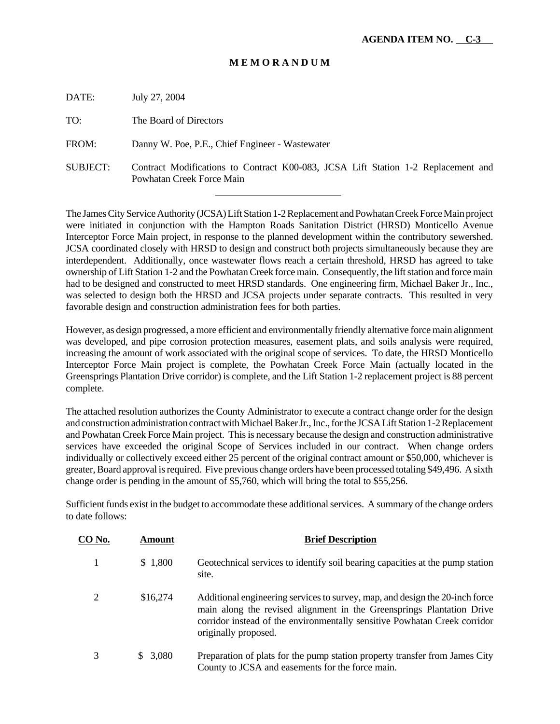| DATE:           | July 27, 2004                                                                                                  |  |  |
|-----------------|----------------------------------------------------------------------------------------------------------------|--|--|
| TO:             | The Board of Directors                                                                                         |  |  |
| FROM:           | Danny W. Poe, P.E., Chief Engineer - Wastewater                                                                |  |  |
| <b>SUBJECT:</b> | Contract Modifications to Contract K00-083, JCSA Lift Station 1-2 Replacement and<br>Powhatan Creek Force Main |  |  |

l

The James City Service Authority (JCSA) Lift Station 1-2 Replacement and Powhatan Creek Force Main project were initiated in conjunction with the Hampton Roads Sanitation District (HRSD) Monticello Avenue Interceptor Force Main project, in response to the planned development within the contributory sewershed. JCSA coordinated closely with HRSD to design and construct both projects simultaneously because they are interdependent. Additionally, once wastewater flows reach a certain threshold, HRSD has agreed to take ownership of Lift Station 1-2 and the Powhatan Creek force main. Consequently, the lift station and force main had to be designed and constructed to meet HRSD standards. One engineering firm, Michael Baker Jr., Inc., was selected to design both the HRSD and JCSA projects under separate contracts. This resulted in very favorable design and construction administration fees for both parties.

However, as design progressed, a more efficient and environmentally friendly alternative force main alignment was developed, and pipe corrosion protection measures, easement plats, and soils analysis were required, increasing the amount of work associated with the original scope of services. To date, the HRSD Monticello Interceptor Force Main project is complete, the Powhatan Creek Force Main (actually located in the Greensprings Plantation Drive corridor) is complete, and the Lift Station 1-2 replacement project is 88 percent complete.

The attached resolution authorizes the County Administrator to execute a contract change order for the design and construction administration contract with Michael Baker Jr., Inc., for the JCSA Lift Station 1-2 Replacement and Powhatan Creek Force Main project. This is necessary because the design and construction administrative services have exceeded the original Scope of Services included in our contract. When change orders individually or collectively exceed either 25 percent of the original contract amount or \$50,000, whichever is greater, Board approval is required. Five previous change orders have been processed totaling \$49,496. A sixth change order is pending in the amount of \$5,760, which will bring the total to \$55,256.

Sufficient funds exist in the budget to accommodate these additional services. A summary of the change orders to date follows:

| <b>CO No.</b> | Amount   | <b>Brief Description</b>                                                                                                                                                                                                                                   |
|---------------|----------|------------------------------------------------------------------------------------------------------------------------------------------------------------------------------------------------------------------------------------------------------------|
|               | \$1,800  | Geotechnical services to identify soil bearing capacities at the pump station<br>site.                                                                                                                                                                     |
| 2             | \$16,274 | Additional engineering services to survey, map, and design the 20-inch force<br>main along the revised alignment in the Greensprings Plantation Drive<br>corridor instead of the environmentally sensitive Powhatan Creek corridor<br>originally proposed. |
|               | \$3,080  | Preparation of plats for the pump station property transfer from James City<br>County to JCSA and easements for the force main.                                                                                                                            |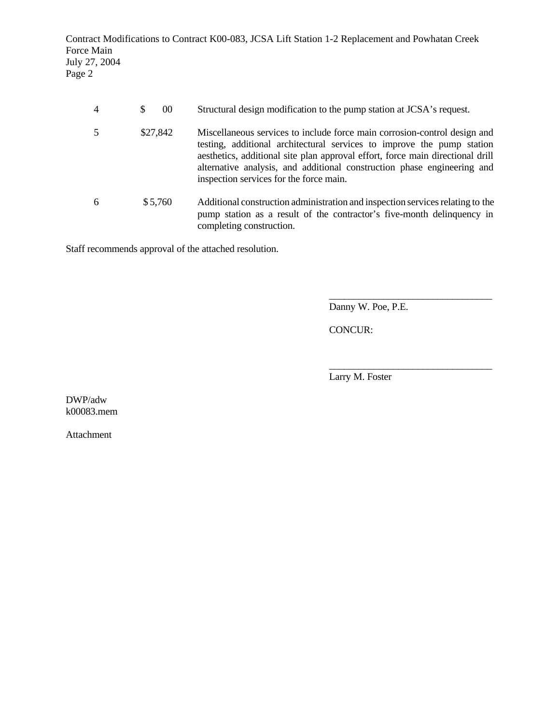Contract Modifications to Contract K00-083, JCSA Lift Station 1-2 Replacement and Powhatan Creek Force Main July 27, 2004 Page 2

|   | 00<br><sup>\$</sup> | Structural design modification to the pump station at JCSA's request.                                                                                                                                                                                                                                                                                       |
|---|---------------------|-------------------------------------------------------------------------------------------------------------------------------------------------------------------------------------------------------------------------------------------------------------------------------------------------------------------------------------------------------------|
|   | \$27,842            | Miscellaneous services to include force main corrosion-control design and<br>testing, additional architectural services to improve the pump station<br>aesthetics, additional site plan approval effort, force main directional drill<br>alternative analysis, and additional construction phase engineering and<br>inspection services for the force main. |
| 6 | \$5,760             | Additional construction administration and inspection services relating to the<br>pump station as a result of the contractor's five-month delinquency in<br>completing construction.                                                                                                                                                                        |

Staff recommends approval of the attached resolution.

\_\_\_\_\_\_\_\_\_\_\_\_\_\_\_\_\_\_\_\_\_\_\_\_\_\_\_\_\_\_\_\_\_ Danny W. Poe, P.E.

CONCUR:

Larry M. Foster

\_\_\_\_\_\_\_\_\_\_\_\_\_\_\_\_\_\_\_\_\_\_\_\_\_\_\_\_\_\_\_\_\_

DWP/adw k00083.mem

Attachment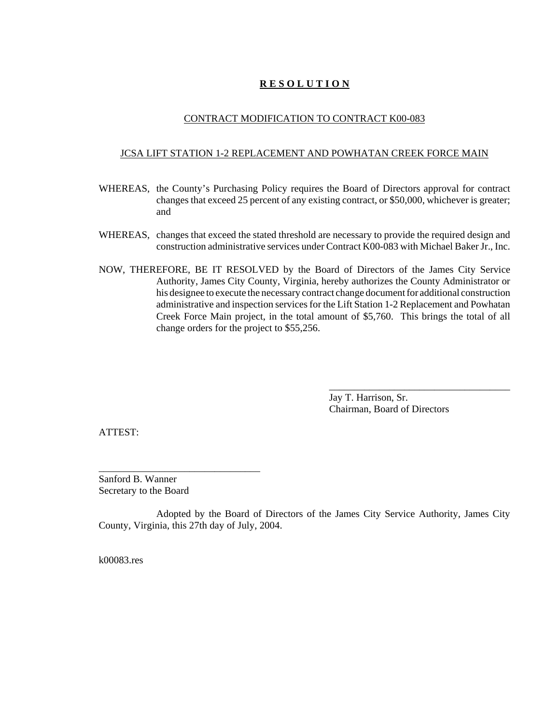### CONTRACT MODIFICATION TO CONTRACT K00-083

#### JCSA LIFT STATION 1-2 REPLACEMENT AND POWHATAN CREEK FORCE MAIN

- WHEREAS, the County's Purchasing Policy requires the Board of Directors approval for contract changes that exceed 25 percent of any existing contract, or \$50,000, whichever is greater; and
- WHEREAS, changes that exceed the stated threshold are necessary to provide the required design and construction administrative services under Contract K00-083 with Michael Baker Jr., Inc.
- NOW, THEREFORE, BE IT RESOLVED by the Board of Directors of the James City Service Authority, James City County, Virginia, hereby authorizes the County Administrator or his designee to execute the necessary contract change document for additional construction administrative and inspection services for the Lift Station 1-2 Replacement and Powhatan Creek Force Main project, in the total amount of \$5,760. This brings the total of all change orders for the project to \$55,256.

Jay T. Harrison, Sr. Chairman, Board of Directors

\_\_\_\_\_\_\_\_\_\_\_\_\_\_\_\_\_\_\_\_\_\_\_\_\_\_\_\_\_\_\_\_\_\_\_\_

ATTEST:

Sanford B. Wanner Secretary to the Board

\_\_\_\_\_\_\_\_\_\_\_\_\_\_\_\_\_\_\_\_\_\_\_\_\_\_\_\_\_\_\_\_

Adopted by the Board of Directors of the James City Service Authority, James City County, Virginia, this 27th day of July, 2004.

k00083.res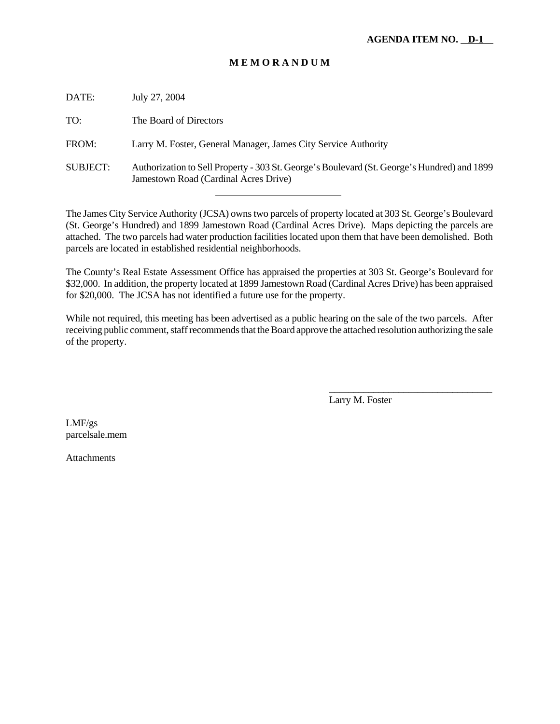| DATE:           | July 27, 2004                                                                                                                        |
|-----------------|--------------------------------------------------------------------------------------------------------------------------------------|
| TO:             | The Board of Directors                                                                                                               |
| FROM:           | Larry M. Foster, General Manager, James City Service Authority                                                                       |
| <b>SUBJECT:</b> | Authorization to Sell Property - 303 St. George's Boulevard (St. George's Hundred) and 1899<br>Jamestown Road (Cardinal Acres Drive) |
|                 |                                                                                                                                      |

The James City Service Authority (JCSA) owns two parcels of property located at 303 St. George's Boulevard (St. George's Hundred) and 1899 Jamestown Road (Cardinal Acres Drive). Maps depicting the parcels are attached. The two parcels had water production facilities located upon them that have been demolished. Both parcels are located in established residential neighborhoods.

The County's Real Estate Assessment Office has appraised the properties at 303 St. George's Boulevard for \$32,000. In addition, the property located at 1899 Jamestown Road (Cardinal Acres Drive) has been appraised for \$20,000. The JCSA has not identified a future use for the property.

While not required, this meeting has been advertised as a public hearing on the sale of the two parcels. After receiving public comment, staff recommends that the Board approve the attached resolution authorizing the sale of the property.

Larry M. Foster

\_\_\_\_\_\_\_\_\_\_\_\_\_\_\_\_\_\_\_\_\_\_\_\_\_\_\_\_\_\_\_\_\_

LMF/gs parcelsale.mem

Attachments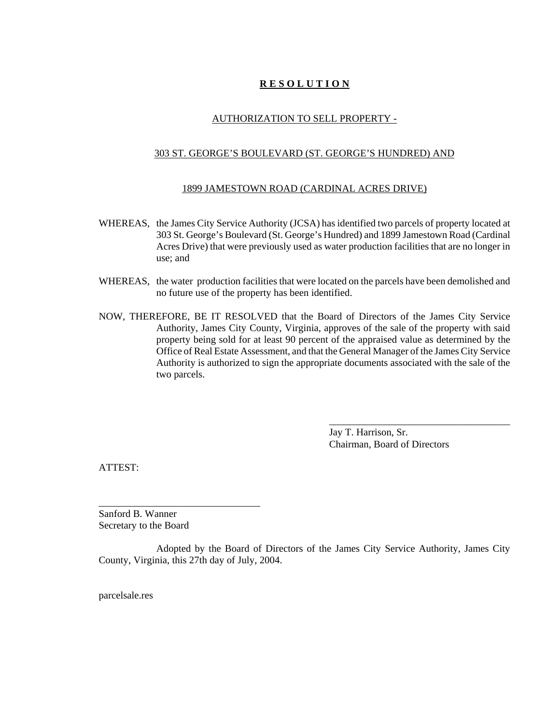### AUTHORIZATION TO SELL PROPERTY -

#### 303 ST. GEORGE'S BOULEVARD (ST. GEORGE'S HUNDRED) AND

#### 1899 JAMESTOWN ROAD (CARDINAL ACRES DRIVE)

- WHEREAS, the James City Service Authority (JCSA) has identified two parcels of property located at 303 St. George's Boulevard (St. George's Hundred) and 1899 Jamestown Road (Cardinal Acres Drive) that were previously used as water production facilities that are no longer in use; and
- WHEREAS, the water production facilities that were located on the parcels have been demolished and no future use of the property has been identified.
- NOW, THEREFORE, BE IT RESOLVED that the Board of Directors of the James City Service Authority, James City County, Virginia, approves of the sale of the property with said property being sold for at least 90 percent of the appraised value as determined by the Office of Real Estate Assessment, and that the General Manager of the James City Service Authority is authorized to sign the appropriate documents associated with the sale of the two parcels.

Jay T. Harrison, Sr. Chairman, Board of Directors

\_\_\_\_\_\_\_\_\_\_\_\_\_\_\_\_\_\_\_\_\_\_\_\_\_\_\_\_\_\_\_\_\_\_\_\_

ATTEST:

Sanford B. Wanner Secretary to the Board

\_\_\_\_\_\_\_\_\_\_\_\_\_\_\_\_\_\_\_\_\_\_\_\_\_\_\_\_\_\_\_\_

Adopted by the Board of Directors of the James City Service Authority, James City County, Virginia, this 27th day of July, 2004.

parcelsale.res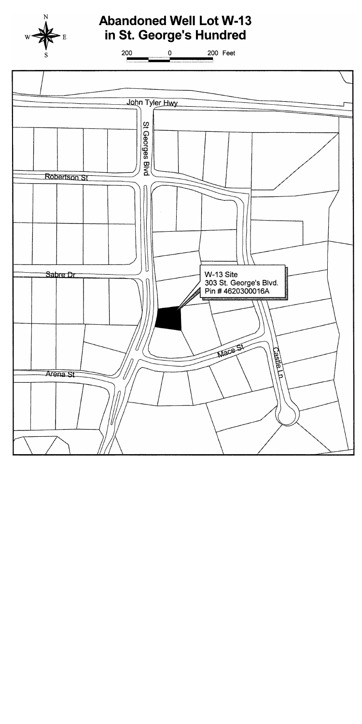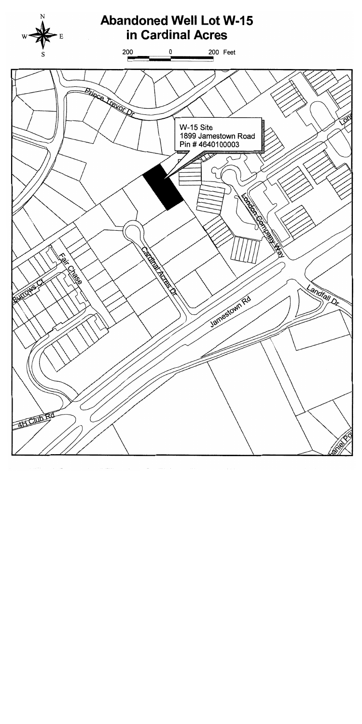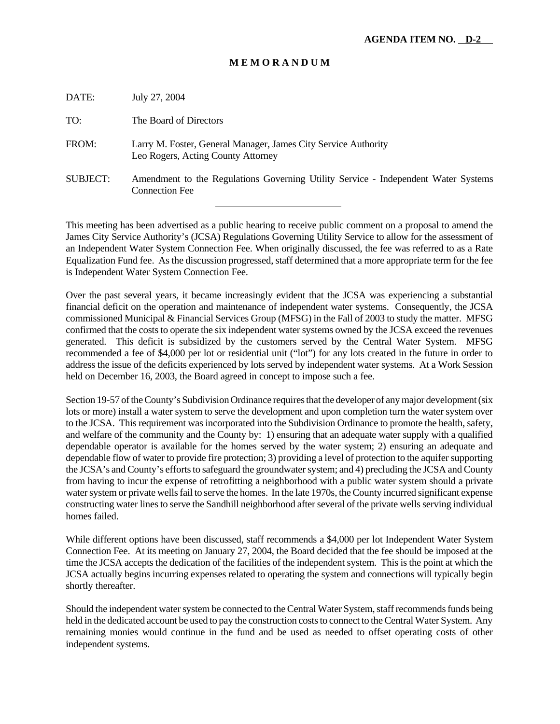| DATE:           | July 27, 2004                                                                                               |
|-----------------|-------------------------------------------------------------------------------------------------------------|
| TO:             | The Board of Directors                                                                                      |
| FROM:           | Larry M. Foster, General Manager, James City Service Authority<br>Leo Rogers, Acting County Attorney        |
| <b>SUBJECT:</b> | Amendment to the Regulations Governing Utility Service - Independent Water Systems<br><b>Connection Fee</b> |
|                 |                                                                                                             |

This meeting has been advertised as a public hearing to receive public comment on a proposal to amend the James City Service Authority's (JCSA) Regulations Governing Utility Service to allow for the assessment of an Independent Water System Connection Fee. When originally discussed, the fee was referred to as a Rate Equalization Fund fee. As the discussion progressed, staff determined that a more appropriate term for the fee is Independent Water System Connection Fee.

Over the past several years, it became increasingly evident that the JCSA was experiencing a substantial financial deficit on the operation and maintenance of independent water systems. Consequently, the JCSA commissioned Municipal & Financial Services Group (MFSG) in the Fall of 2003 to study the matter. MFSG confirmed that the costs to operate the six independent water systems owned by the JCSA exceed the revenues generated. This deficit is subsidized by the customers served by the Central Water System. MFSG recommended a fee of \$4,000 per lot or residential unit ("lot") for any lots created in the future in order to address the issue of the deficits experienced by lots served by independent water systems. At a Work Session held on December 16, 2003, the Board agreed in concept to impose such a fee.

Section 19-57 of the County's Subdivision Ordinance requires that the developer of any major development (six lots or more) install a water system to serve the development and upon completion turn the water system over to the JCSA. This requirement was incorporated into the Subdivision Ordinance to promote the health, safety, and welfare of the community and the County by: 1) ensuring that an adequate water supply with a qualified dependable operator is available for the homes served by the water system; 2) ensuring an adequate and dependable flow of water to provide fire protection; 3) providing a level of protection to the aquifer supporting the JCSA's and County's efforts to safeguard the groundwater system; and 4) precluding the JCSA and County from having to incur the expense of retrofitting a neighborhood with a public water system should a private water system or private wells fail to serve the homes. In the late 1970s, the County incurred significant expense constructing water lines to serve the Sandhill neighborhood after several of the private wells serving individual homes failed.

While different options have been discussed, staff recommends a \$4,000 per lot Independent Water System Connection Fee. At its meeting on January 27, 2004, the Board decided that the fee should be imposed at the time the JCSA accepts the dedication of the facilities of the independent system. This is the point at which the JCSA actually begins incurring expenses related to operating the system and connections will typically begin shortly thereafter.

Should the independent water system be connected to the Central Water System, staff recommends funds being held in the dedicated account be used to pay the construction costs to connect to the Central Water System. Any remaining monies would continue in the fund and be used as needed to offset operating costs of other independent systems.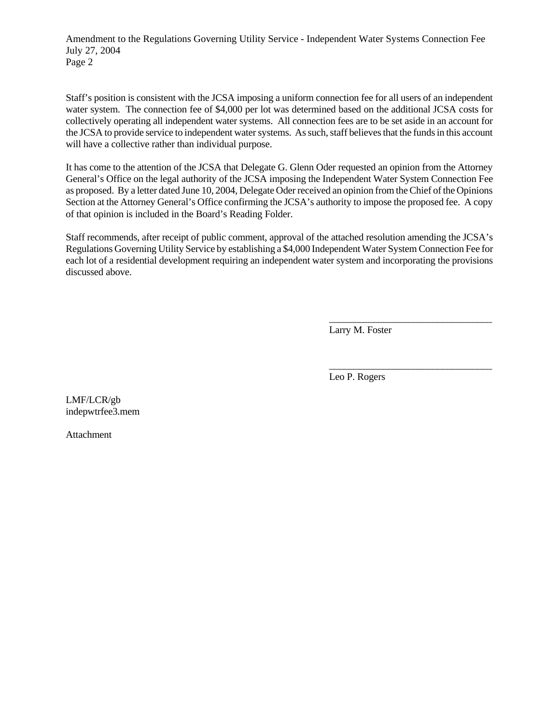Amendment to the Regulations Governing Utility Service - Independent Water Systems Connection Fee July 27, 2004 Page 2

Staff's position is consistent with the JCSA imposing a uniform connection fee for all users of an independent water system. The connection fee of \$4,000 per lot was determined based on the additional JCSA costs for collectively operating all independent water systems. All connection fees are to be set aside in an account for the JCSA to provide service to independent water systems. As such, staff believes that the funds in this account will have a collective rather than individual purpose.

It has come to the attention of the JCSA that Delegate G. Glenn Oder requested an opinion from the Attorney General's Office on the legal authority of the JCSA imposing the Independent Water System Connection Fee as proposed. By a letter dated June 10, 2004, Delegate Oder received an opinion from the Chief of the Opinions Section at the Attorney General's Office confirming the JCSA's authority to impose the proposed fee. A copy of that opinion is included in the Board's Reading Folder.

Staff recommends, after receipt of public comment, approval of the attached resolution amending the JCSA's Regulations Governing Utility Service by establishing a \$4,000 Independent Water System Connection Fee for each lot of a residential development requiring an independent water system and incorporating the provisions discussed above.

Larry M. Foster

\_\_\_\_\_\_\_\_\_\_\_\_\_\_\_\_\_\_\_\_\_\_\_\_\_\_\_\_\_\_\_\_\_

\_\_\_\_\_\_\_\_\_\_\_\_\_\_\_\_\_\_\_\_\_\_\_\_\_\_\_\_\_\_\_\_\_

Leo P. Rogers

LMF/LCR/gb indepwtrfee3.mem

Attachment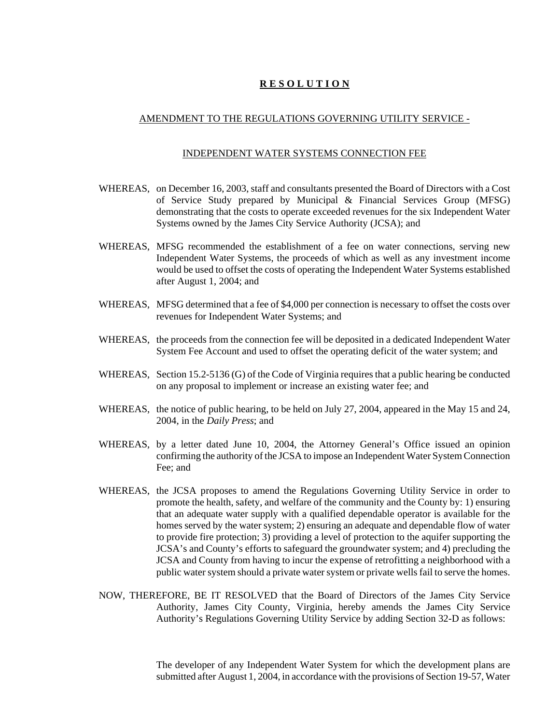#### AMENDMENT TO THE REGULATIONS GOVERNING UTILITY SERVICE -

#### INDEPENDENT WATER SYSTEMS CONNECTION FEE

- WHEREAS, on December 16, 2003, staff and consultants presented the Board of Directors with a Cost of Service Study prepared by Municipal & Financial Services Group (MFSG) demonstrating that the costs to operate exceeded revenues for the six Independent Water Systems owned by the James City Service Authority (JCSA); and
- WHEREAS, MFSG recommended the establishment of a fee on water connections, serving new Independent Water Systems, the proceeds of which as well as any investment income would be used to offset the costs of operating the Independent Water Systems established after August 1, 2004; and
- WHEREAS, MFSG determined that a fee of \$4,000 per connection is necessary to offset the costs over revenues for Independent Water Systems; and
- WHEREAS, the proceeds from the connection fee will be deposited in a dedicated Independent Water System Fee Account and used to offset the operating deficit of the water system; and
- WHEREAS, Section 15.2-5136 (G) of the Code of Virginia requires that a public hearing be conducted on any proposal to implement or increase an existing water fee; and
- WHEREAS, the notice of public hearing, to be held on July 27, 2004, appeared in the May 15 and 24, 2004, in the *Daily Press*; and
- WHEREAS, by a letter dated June 10, 2004, the Attorney General's Office issued an opinion confirming the authority of the JCSA to impose an Independent Water System Connection Fee; and
- WHEREAS, the JCSA proposes to amend the Regulations Governing Utility Service in order to promote the health, safety, and welfare of the community and the County by: 1) ensuring that an adequate water supply with a qualified dependable operator is available for the homes served by the water system; 2) ensuring an adequate and dependable flow of water to provide fire protection; 3) providing a level of protection to the aquifer supporting the JCSA's and County's efforts to safeguard the groundwater system; and 4) precluding the JCSA and County from having to incur the expense of retrofitting a neighborhood with a public water system should a private water system or private wells fail to serve the homes.
- NOW, THEREFORE, BE IT RESOLVED that the Board of Directors of the James City Service Authority, James City County, Virginia, hereby amends the James City Service Authority's Regulations Governing Utility Service by adding Section 32-D as follows:

The developer of any Independent Water System for which the development plans are submitted after August 1, 2004, in accordance with the provisions of Section 19-57, Water